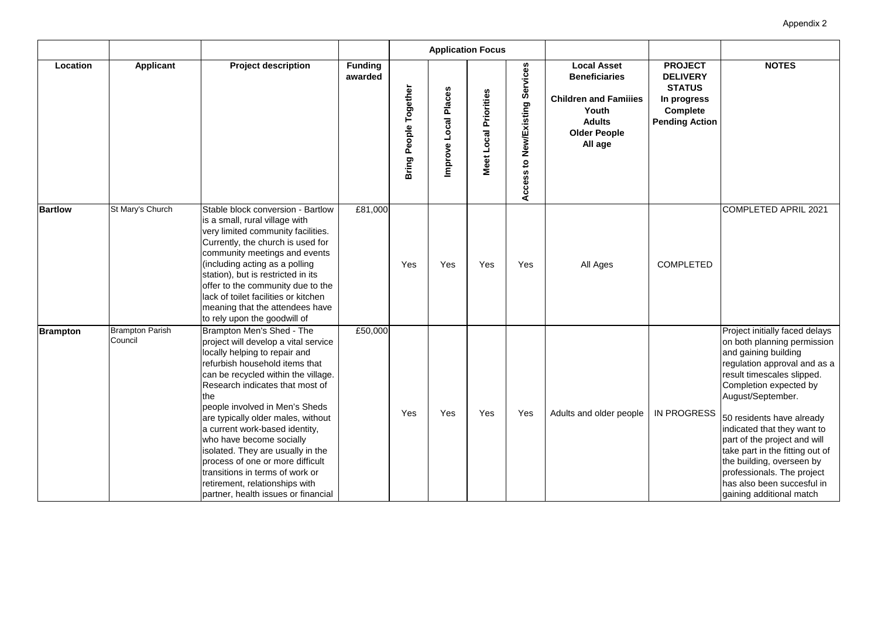| <b>PROJECT</b><br><b>DELIVERY</b><br><b>STATUS</b><br>In progress<br><b>Complete</b><br>ending Action | <b>NOTES</b>                                                                                                                                                                                                                                                                                                                                                                                                                                           |
|-------------------------------------------------------------------------------------------------------|--------------------------------------------------------------------------------------------------------------------------------------------------------------------------------------------------------------------------------------------------------------------------------------------------------------------------------------------------------------------------------------------------------------------------------------------------------|
| COMPLETED                                                                                             | <b>COMPLETED APRIL 2021</b>                                                                                                                                                                                                                                                                                                                                                                                                                            |
| <b>N PROGRESS</b>                                                                                     | Project initially faced delays<br>on both planning permission<br>and gaining building<br>regulation approval and as a<br>result timescales slipped.<br>Completion expected by<br>August/September.<br>50 residents have already<br>indicated that they want to<br>part of the project and will<br>take part in the fitting out of<br>the building, overseen by<br>professionals. The project<br>has also been succesful in<br>gaining additional match |

|                 |                                   |                                                                                                                                                                                                                                                                                                                                                                                                                                                                                                                                                          |                           |                                 |                        | <b>Application Focus</b> |                                 |                                                                                                                                        |                                                                                                               |
|-----------------|-----------------------------------|----------------------------------------------------------------------------------------------------------------------------------------------------------------------------------------------------------------------------------------------------------------------------------------------------------------------------------------------------------------------------------------------------------------------------------------------------------------------------------------------------------------------------------------------------------|---------------------------|---------------------------------|------------------------|--------------------------|---------------------------------|----------------------------------------------------------------------------------------------------------------------------------------|---------------------------------------------------------------------------------------------------------------|
| Location        | <b>Applicant</b>                  | <b>Project description</b>                                                                                                                                                                                                                                                                                                                                                                                                                                                                                                                               | <b>Funding</b><br>awarded | Together<br><b>Bring People</b> | ocal Places<br>Improve | Meet Local Priorities    | Access to New/Existing Services | <b>Local Asset</b><br><b>Beneficiaries</b><br><b>Children and Families</b><br>Youth<br><b>Adults</b><br><b>Older People</b><br>All age | <b>PROJECT</b><br><b>DELIVERY</b><br><b>STATUS</b><br>In progress<br><b>Complete</b><br><b>Pending Action</b> |
| <b>Bartlow</b>  | St Mary's Church                  | Stable block conversion - Bartlow<br>is a small, rural village with<br>very limited community facilities.<br>Currently, the church is used for<br>community meetings and events<br>(including acting as a polling<br>station), but is restricted in its<br>offer to the community due to the<br>lack of toilet facilities or kitchen<br>meaning that the attendees have<br>to rely upon the goodwill of                                                                                                                                                  | £81,000                   | Yes                             | Yes                    | Yes                      | Yes                             | All Ages                                                                                                                               | <b>COMPLETED</b>                                                                                              |
| <b>Brampton</b> | <b>Brampton Parish</b><br>Council | Brampton Men's Shed - The<br>project will develop a vital service<br>locally helping to repair and<br>refurbish household items that<br>can be recycled within the village.<br>Research indicates that most of<br><b>Ithe</b><br>people involved in Men's Sheds<br>are typically older males, without<br>a current work-based identity,<br>who have become socially<br>isolated. They are usually in the<br>process of one or more difficult<br>transitions in terms of work or<br>retirement, relationships with<br>partner, health issues or financial | £50,000                   | Yes                             | Yes                    | Yes                      | Yes                             | Adults and older people                                                                                                                | <b>IN PROGRESS</b>                                                                                            |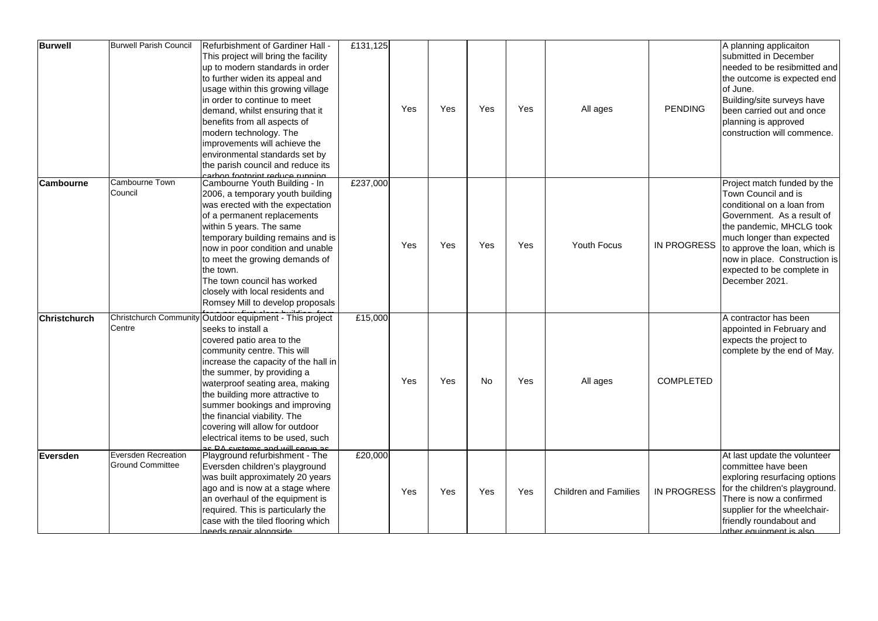| <b>Burwell</b>      | <b>Burwell Parish Council</b>                         | Refurbishment of Gardiner Hall -<br>This project will bring the facility<br>up to modern standards in order<br>to further widen its appeal and<br>usage within this growing village<br>in order to continue to meet<br>demand, whilst ensuring that it<br>benefits from all aspects of<br>modern technology. The<br>improvements will achieve the<br>environmental standards set by<br>the parish council and reduce its                                          | £131,125 | Yes | Yes | Yes | Yes | All ages                     | <b>PENDING</b>     | A planning applicaiton<br>submitted in December<br>needed to be resibmitted and<br>the outcome is expected end<br>of June.<br>Building/site surveys have<br>been carried out and once<br>planning is approved<br>construction will commence.                                              |
|---------------------|-------------------------------------------------------|-------------------------------------------------------------------------------------------------------------------------------------------------------------------------------------------------------------------------------------------------------------------------------------------------------------------------------------------------------------------------------------------------------------------------------------------------------------------|----------|-----|-----|-----|-----|------------------------------|--------------------|-------------------------------------------------------------------------------------------------------------------------------------------------------------------------------------------------------------------------------------------------------------------------------------------|
| <b>Cambourne</b>    | <b>Cambourne Town</b><br>Council                      | carbon footprint reduce running.<br>Cambourne Youth Building - In<br>2006, a temporary youth building<br>was erected with the expectation<br>of a permanent replacements<br>within 5 years. The same<br>temporary building remains and is<br>now in poor condition and unable<br>to meet the growing demands of<br>the town.<br>The town council has worked<br>closely with local residents and<br>Romsey Mill to develop proposals                               | £237,000 | Yes | Yes | Yes | Yes | <b>Youth Focus</b>           | <b>IN PROGRESS</b> | Project match funded by the<br>Town Council and is<br>conditional on a loan from<br>Government. As a result of<br>the pandemic, MHCLG took<br>much longer than expected<br>to approve the loan, which is<br>now in place. Construction is<br>expected to be complete in<br>December 2021. |
| <b>Christchurch</b> | Centre                                                | Christchurch Community Outdoor equipment - This project<br>seeks to install a<br>covered patio area to the<br>community centre. This will<br>increase the capacity of the hall in<br>the summer, by providing a<br>waterproof seating area, making<br>the building more attractive to<br>summer bookings and improving<br>the financial viability. The<br>covering will allow for outdoor<br>electrical items to be used, such<br>as PA systems and will serve as | £15,000  | Yes | Yes | No  | Yes | All ages                     | <b>COMPLETED</b>   | A contractor has been<br>appointed in February and<br>expects the project to<br>complete by the end of May.                                                                                                                                                                               |
| <b>Eversden</b>     | <b>Eversden Recreation</b><br><b>Ground Committee</b> | Playground refurbishment - The<br>Eversden children's playground<br>was built approximately 20 years<br>ago and is now at a stage where<br>an overhaul of the equipment is<br>required. This is particularly the<br>case with the tiled flooring which<br>needs repair alongside                                                                                                                                                                                  | £20,000  | Yes | Yes | Yes | Yes | <b>Children and Families</b> | <b>IN PROGRESS</b> | At last update the volunteer<br>committee have been<br>exploring resurfacing options<br>for the children's playground.<br>There is now a confirmed<br>supplier for the wheelchair-<br>friendly roundabout and<br>other equipment is also                                                  |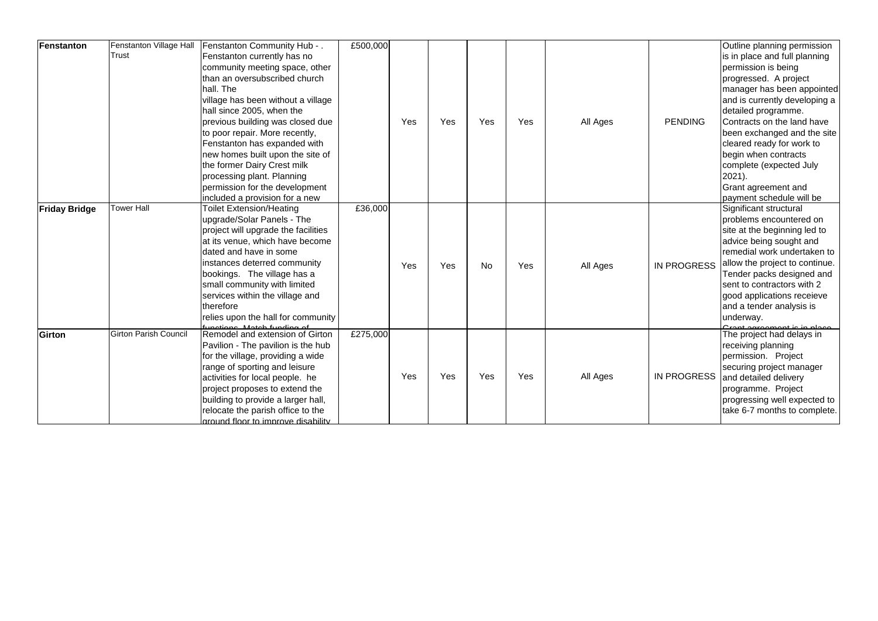| Fenstanton           | Fenstanton Village Hall<br><b>Trust</b> | Fenstanton Community Hub - .<br>Fenstanton currently has no<br>community meeting space, other<br>than an oversubscribed church<br>hall. The<br>village has been without a village<br>hall since 2005, when the<br>previous building was closed due<br>to poor repair. More recently,<br>Fenstanton has expanded with<br>new homes built upon the site of<br>the former Dairy Crest milk | £500,000 | Yes | Yes | Yes       | Yes | All Ages | <b>PENDING</b>     | Outline planning permission<br>is in place and full planning<br>permission is being<br>progressed. A project<br>manager has been appointed<br>and is currently developing a<br>detailed programme.<br>Contracts on the land have<br>been exchanged and the site<br>cleared ready for work to<br>begin when contracts<br>complete (expected July        |
|----------------------|-----------------------------------------|-----------------------------------------------------------------------------------------------------------------------------------------------------------------------------------------------------------------------------------------------------------------------------------------------------------------------------------------------------------------------------------------|----------|-----|-----|-----------|-----|----------|--------------------|--------------------------------------------------------------------------------------------------------------------------------------------------------------------------------------------------------------------------------------------------------------------------------------------------------------------------------------------------------|
|                      |                                         | processing plant. Planning<br>permission for the development<br>included a provision for a new                                                                                                                                                                                                                                                                                          |          |     |     |           |     |          |                    | $2021$ ).<br><b>Grant agreement and</b><br>payment schedule will be                                                                                                                                                                                                                                                                                    |
| <b>Friday Bridge</b> | <b>Tower Hall</b>                       | <b>Toilet Extension/Heating</b><br>upgrade/Solar Panels - The<br>project will upgrade the facilities<br>at its venue, which have become<br>dated and have in some<br>instances deterred community<br>bookings. The village has a<br>small community with limited<br>services within the village and<br>therefore<br>relies upon the hall for community                                  | £36,000  | Yes | Yes | <b>No</b> | Yes | All Ages | <b>IN PROGRESS</b> | Significant structural<br>problems encountered on<br>site at the beginning led to<br>advice being sought and<br>remedial work undertaken to<br>allow the project to continue.<br>Tender packs designed and<br>sent to contractors with 2<br>good applications receieve<br>and a tender analysis is<br>underway.<br><u> Crant agroomant is in place</u> |
| Girton               | <b>Girton Parish Council</b>            | functions. Match funding of<br> Remodel and extension of Girton<br>Pavilion - The pavilion is the hub<br>for the village, providing a wide<br>range of sporting and leisure<br>activities for local people. he<br>project proposes to extend the<br>building to provide a larger hall,<br>relocate the parish office to the<br>around floor to improve disability                       | £275,000 | Yes | Yes | Yes       | Yes | All Ages | <b>IN PROGRESS</b> | The project had delays in<br>receiving planning<br>permission. Project<br>securing project manager<br>and detailed delivery<br>programme. Project<br>progressing well expected to<br>take 6-7 months to complete.                                                                                                                                      |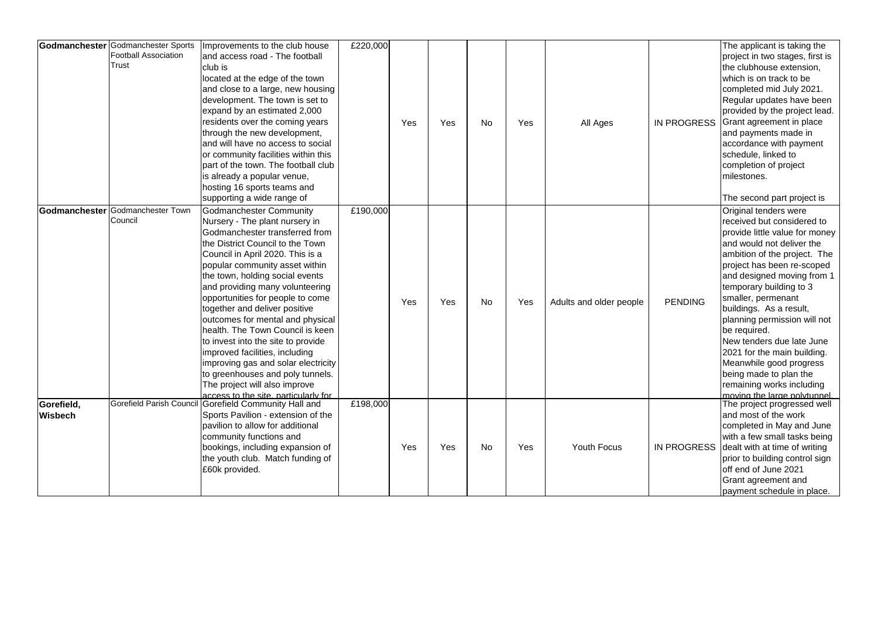|                              | <b>Godmanchester</b> Godmanchester Sports<br><b>Football Association</b><br>Trust | Improvements to the club house<br>and access road - The football<br>club is<br>located at the edge of the town<br>and close to a large, new housing<br>development. The town is set to<br>expand by an estimated 2,000<br>residents over the coming years<br>through the new development,<br>and will have no access to social<br>or community facilities within this<br>part of the town. The football club<br>is already a popular venue,<br>hosting 16 sports teams and<br>supporting a wide range of                                                                                                                                                    | £220,000 | Yes | Yes | <b>No</b> | Yes | All Ages                | <b>IN PROGRESS</b> | The applicant is taking the<br>project in two stages, first is<br>the clubhouse extension,<br>which is on track to be<br>completed mid July 2021.<br>Regular updates have been<br>provided by the project lead.<br>Grant agreement in place<br>and payments made in<br>accordance with payment<br>schedule, linked to<br>completion of project<br>milestones.<br>The second part project is                                                                                                                              |
|------------------------------|-----------------------------------------------------------------------------------|-------------------------------------------------------------------------------------------------------------------------------------------------------------------------------------------------------------------------------------------------------------------------------------------------------------------------------------------------------------------------------------------------------------------------------------------------------------------------------------------------------------------------------------------------------------------------------------------------------------------------------------------------------------|----------|-----|-----|-----------|-----|-------------------------|--------------------|--------------------------------------------------------------------------------------------------------------------------------------------------------------------------------------------------------------------------------------------------------------------------------------------------------------------------------------------------------------------------------------------------------------------------------------------------------------------------------------------------------------------------|
|                              | Godmanchester Godmanchester Town<br>Council                                       | <b>Godmanchester Community</b><br>Nursery - The plant nursery in<br>Godmanchester transferred from<br>the District Council to the Town<br>Council in April 2020. This is a<br>popular community asset within<br>the town, holding social events<br>and providing many volunteering<br>opportunities for people to come<br>together and deliver positive<br>outcomes for mental and physical<br>health. The Town Council is keen<br>to invest into the site to provide<br>improved facilities, including<br>improving gas and solar electricity<br>to greenhouses and poly tunnels.<br>The project will also improve<br>access to the site, particularly for | £190,000 | Yes | Yes | <b>No</b> | Yes | Adults and older people | <b>PENDING</b>     | Original tenders were<br>received but considered to<br>provide little value for money<br>and would not deliver the<br>ambition of the project. The<br>project has been re-scoped<br>and designed moving from 1<br>temporary building to 3<br>smaller, permenant<br>buildings. As a result,<br>planning permission will not<br>be required.<br>New tenders due late June<br>2021 for the main building.<br>Meanwhile good progress<br>being made to plan the<br>remaining works including<br>moving the large polytunnel. |
| Gorefield,<br><b>Wisbech</b> | Gorefield Parish Council                                                          | Gorefield Community Hall and<br>Sports Pavilion - extension of the<br>pavilion to allow for additional<br>community functions and<br>bookings, including expansion of<br>the youth club. Match funding of<br>£60k provided.                                                                                                                                                                                                                                                                                                                                                                                                                                 | £198,000 | Yes | Yes | <b>No</b> | Yes | <b>Youth Focus</b>      | <b>IN PROGRESS</b> | The project progressed well<br>and most of the work<br>completed in May and June<br>with a few small tasks being<br>dealt with at time of writing<br>prior to building control sign<br>off end of June 2021<br>Grant agreement and<br>payment schedule in place.                                                                                                                                                                                                                                                         |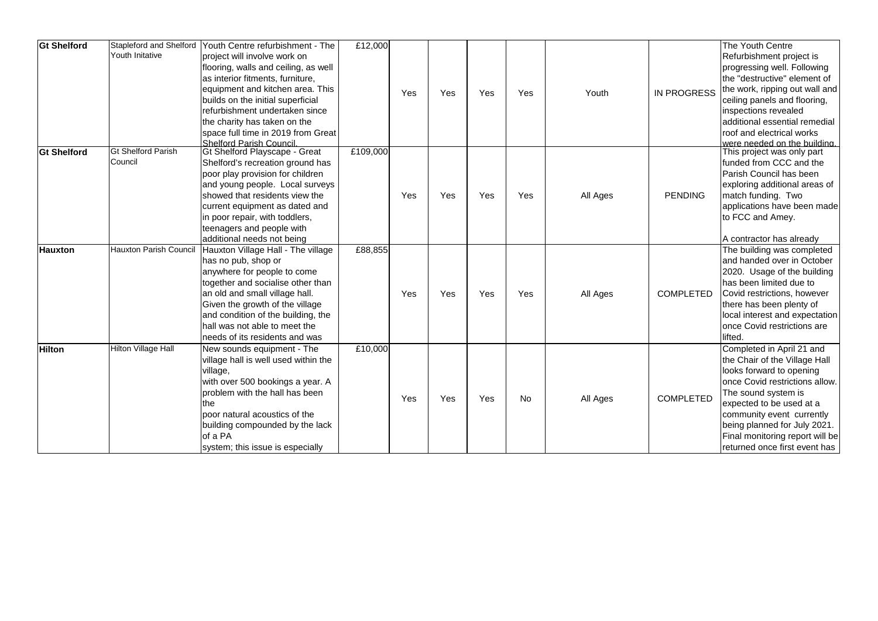| <b>Gt Shelford</b> | <b>Stapleford and Shelford</b><br><b>Youth Initative</b> | Youth Centre refurbishment - The<br>project will involve work on<br>flooring, walls and ceiling, as well<br>as interior fitments, furniture,<br>equipment and kitchen area. This<br>builds on the initial superficial<br>refurbishment undertaken since<br>the charity has taken on the<br>space full time in 2019 from Great<br><b>Shelford Parish Council</b> | £12,000  | Yes | Yes | Yes | Yes       | Youth    | <b>IN PROGRESS</b> | The Youth Centre<br>Refurbishment project is<br>progressing well. Following<br>the "destructive" element of<br>the work, ripping out wall and<br>ceiling panels and flooring,<br>inspections revealed<br>additional essential remedial<br>roof and electrical works<br>were needed on the building           |
|--------------------|----------------------------------------------------------|-----------------------------------------------------------------------------------------------------------------------------------------------------------------------------------------------------------------------------------------------------------------------------------------------------------------------------------------------------------------|----------|-----|-----|-----|-----------|----------|--------------------|--------------------------------------------------------------------------------------------------------------------------------------------------------------------------------------------------------------------------------------------------------------------------------------------------------------|
| <b>Gt Shelford</b> | <b>Gt Shelford Parish</b><br>Council                     | <b>Gt Shelford Playscape - Great</b><br>Shelford's recreation ground has<br>poor play provision for children<br>and young people. Local surveys<br>showed that residents view the<br>current equipment as dated and<br>in poor repair, with toddlers,<br>teenagers and people with<br>additional needs not being                                                | £109,000 | Yes | Yes | Yes | Yes       | All Ages | <b>PENDING</b>     | This project was only part<br>funded from CCC and the<br>Parish Council has been<br>exploring additional areas of<br>match funding. Two<br>applications have been made<br>to FCC and Amey.<br>A contractor has already                                                                                       |
| <b>Hauxton</b>     | <b>Hauxton Parish Council</b>                            | Hauxton Village Hall - The village<br>has no pub, shop or<br>anywhere for people to come<br>together and socialise other than<br>an old and small village hall.<br>Given the growth of the village<br>and condition of the building, the<br>hall was not able to meet the<br>needs of its residents and was                                                     | £88,855  | Yes | Yes | Yes | Yes       | All Ages | <b>COMPLETED</b>   | The building was completed<br>and handed over in October<br>2020. Usage of the building<br>has been limited due to<br>Covid restrictions, however<br>there has been plenty of<br>local interest and expectation<br>once Covid restrictions are<br>lifted.                                                    |
| <b>Hilton</b>      | <b>Hilton Village Hall</b>                               | New sounds equipment - The<br>village hall is well used within the<br>village,<br>with over 500 bookings a year. A<br>problem with the hall has been<br>the<br>poor natural acoustics of the<br>building compounded by the lack<br>of a PA<br>system; this issue is especially                                                                                  | £10,000  | Yes | Yes | Yes | <b>No</b> | All Ages | <b>COMPLETED</b>   | Completed in April 21 and<br>the Chair of the Village Hall<br>looks forward to opening<br>once Covid restrictions allow.<br>The sound system is<br>expected to be used at a<br>community event currently<br>being planned for July 2021.<br>Final monitoring report will be<br>returned once first event has |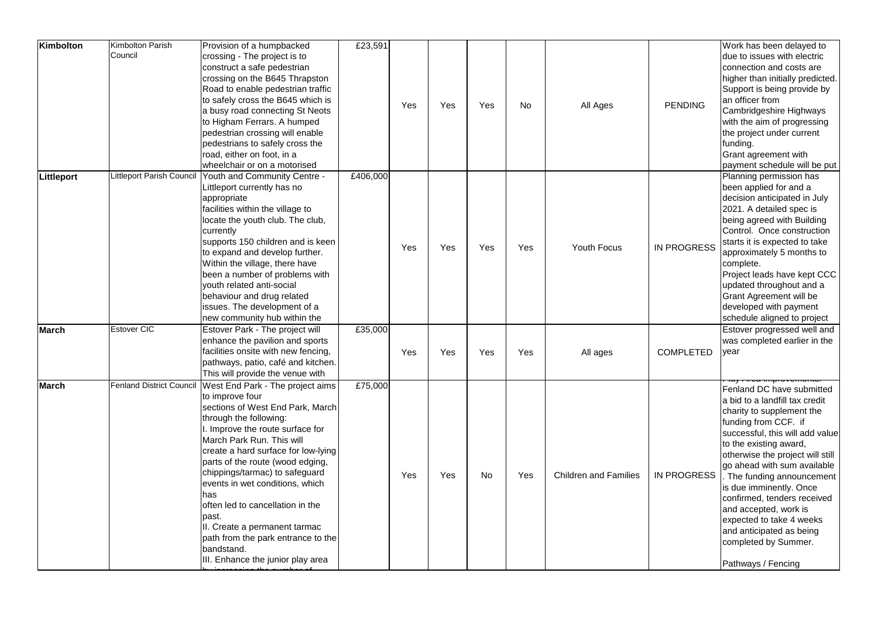| Kimbolton    | Kimbolton Parish<br>Council     | Provision of a humpbacked<br>crossing - The project is to<br>construct a safe pedestrian<br>crossing on the B645 Thrapston<br>Road to enable pedestrian traffic<br>to safely cross the B645 which is<br>a busy road connecting St Neots<br>to Higham Ferrars. A humped<br>pedestrian crossing will enable<br>pedestrians to safely cross the<br>road, either on foot, in a<br>wheelchair or on a motorised                                                                                                      | £23,591  | Yes | Yes | Yes       | <b>No</b> | All Ages                     | <b>PENDING</b>     | Work has been delayed to<br>due to issues with electric<br>connection and costs are<br>higher than initially predicted.<br>Support is being provide by<br>an officer from<br>Cambridgeshire Highways<br>with the aim of progressing<br>the project under current<br>funding.<br>Grant agreement with<br>payment schedule will be put                                                                                                                                  |
|--------------|---------------------------------|-----------------------------------------------------------------------------------------------------------------------------------------------------------------------------------------------------------------------------------------------------------------------------------------------------------------------------------------------------------------------------------------------------------------------------------------------------------------------------------------------------------------|----------|-----|-----|-----------|-----------|------------------------------|--------------------|-----------------------------------------------------------------------------------------------------------------------------------------------------------------------------------------------------------------------------------------------------------------------------------------------------------------------------------------------------------------------------------------------------------------------------------------------------------------------|
| Littleport   | Littleport Parish Council       | Youth and Community Centre -<br>Littleport currently has no<br>appropriate<br>facilities within the village to<br>locate the youth club. The club,<br>currently<br>supports 150 children and is keen<br>to expand and develop further.<br>Within the village, there have<br>been a number of problems with<br>youth related anti-social<br>behaviour and drug related<br>issues. The development of a<br>new community hub within the                                                                           | £406,000 | Yes | Yes | Yes       | Yes       | <b>Youth Focus</b>           | <b>IN PROGRESS</b> | Planning permission has<br>been applied for and a<br>decision anticipated in July<br>2021. A detailed spec is<br>being agreed with Building<br>Control. Once construction<br>starts it is expected to take<br>approximately 5 months to<br>complete.<br>Project leads have kept CCC<br>updated throughout and a<br><b>Grant Agreement will be</b><br>developed with payment<br>schedule aligned to project                                                            |
| <b>March</b> | <b>Estover CIC</b>              | Estover Park - The project will<br>enhance the pavilion and sports<br>facilities onsite with new fencing,<br>pathways, patio, café and kitchen.<br>This will provide the venue with                                                                                                                                                                                                                                                                                                                             | £35,000  | Yes | Yes | Yes       | Yes       | All ages                     | <b>COMPLETED</b>   | Estover progressed well and<br>was completed earlier in the<br>year                                                                                                                                                                                                                                                                                                                                                                                                   |
| <b>March</b> | <b>Fenland District Council</b> | West End Park - The project aims<br>to improve four<br>sections of West End Park, March<br>through the following:<br>. Improve the route surface for<br>March Park Run. This will<br>create a hard surface for low-lying<br>parts of the route (wood edging,<br>chippings/tarmac) to safeguard<br>events in wet conditions, which<br>has<br>often led to cancellation in the<br>past.<br>II. Create a permanent tarmac<br>path from the park entrance to the<br>bandstand.<br>III. Enhance the junior play area | £75,000  | Yes | Yes | <b>No</b> | Yes       | <b>Children and Families</b> | <b>IN PROGRESS</b> | Fenland DC have submitted<br>a bid to a landfill tax credit<br>charity to supplement the<br>funding from CCF. if<br>successful, this will add value<br>to the existing award,<br>otherwise the project will still<br>go ahead with sum available<br>The funding announcement<br>is due imminently. Once<br>confirmed, tenders received<br>and accepted, work is<br>expected to take 4 weeks<br>and anticipated as being<br>completed by Summer.<br>Pathways / Fencing |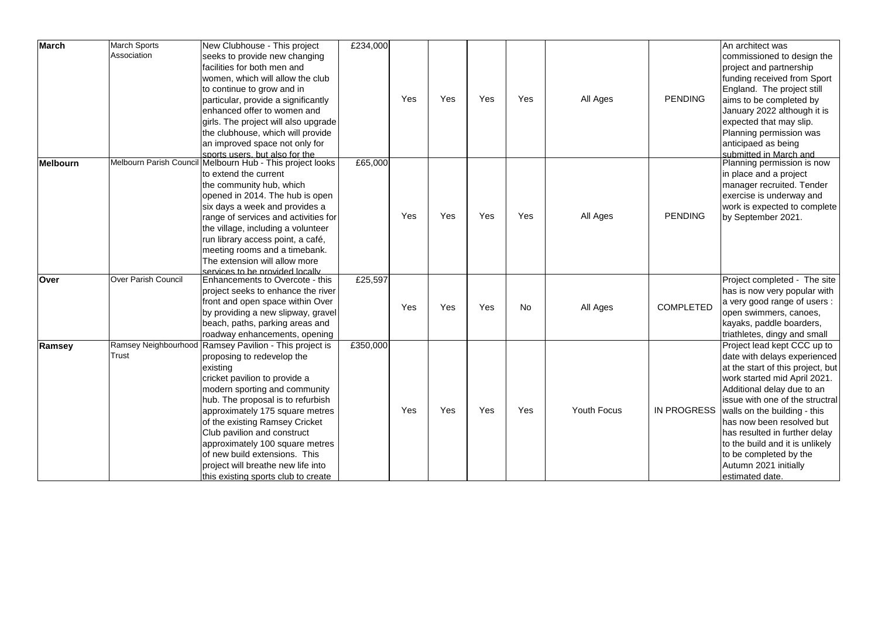| <b>March</b>    | March Sports<br>Association | New Clubhouse - This project<br>seeks to provide new changing      | £234,000 |     |     |     |           |                    |                    | An architect was<br>commissioned to design the |
|-----------------|-----------------------------|--------------------------------------------------------------------|----------|-----|-----|-----|-----------|--------------------|--------------------|------------------------------------------------|
|                 |                             | facilities for both men and                                        |          |     |     |     |           |                    |                    | project and partnership                        |
|                 |                             | women, which will allow the club                                   |          |     |     |     |           |                    |                    | funding received from Sport                    |
|                 |                             | to continue to grow and in                                         |          |     |     |     |           |                    |                    | England. The project still                     |
|                 |                             | particular, provide a significantly                                |          | Yes | Yes | Yes | Yes       | All Ages           | <b>PENDING</b>     | aims to be completed by                        |
|                 |                             | lenhanced offer to women and                                       |          |     |     |     |           |                    |                    | January 2022 although it is                    |
|                 |                             | girls. The project will also upgrade                               |          |     |     |     |           |                    |                    | expected that may slip.                        |
|                 |                             | the clubhouse, which will provide                                  |          |     |     |     |           |                    |                    | Planning permission was                        |
|                 |                             | an improved space not only for                                     |          |     |     |     |           |                    |                    | anticipaed as being                            |
|                 |                             | sports users, but also for the                                     |          |     |     |     |           |                    |                    | submitted in March and                         |
| <b>Melbourn</b> |                             | Melbourn Parish Council Melbourn Hub - This project looks          | £65,000  |     |     |     |           |                    |                    | Planning permission is now                     |
|                 |                             | to extend the current                                              |          |     |     |     |           |                    |                    | in place and a project                         |
|                 |                             | the community hub, which                                           |          |     |     |     |           | All Ages           |                    | manager recruited. Tender                      |
|                 |                             | opened in 2014. The hub is open                                    |          |     |     |     |           |                    | <b>PENDING</b>     | exercise is underway and                       |
|                 |                             | six days a week and provides a                                     |          |     |     |     |           |                    |                    | work is expected to complete                   |
|                 |                             | range of services and activities for                               |          | Yes | Yes | Yes | Yes       |                    |                    | by September 2021.                             |
|                 |                             | the village, including a volunteer                                 |          |     |     |     |           |                    |                    |                                                |
|                 |                             | run library access point, a café,                                  |          |     |     |     |           |                    |                    |                                                |
|                 |                             | meeting rooms and a timebank.                                      |          |     |     |     |           |                    |                    |                                                |
|                 |                             | The extension will allow more                                      |          |     |     |     |           |                    |                    |                                                |
| Over            | <b>Over Parish Council</b>  | services to be provided locally<br>Enhancements to Overcote - this | £25,597  |     |     |     |           |                    |                    | Project completed - The site                   |
|                 |                             | project seeks to enhance the river                                 |          |     |     |     |           |                    |                    | has is now very popular with                   |
|                 |                             | front and open space within Over                                   |          |     |     |     |           |                    |                    | a very good range of users :                   |
|                 |                             | by providing a new slipway, gravel                                 |          | Yes | Yes | Yes | <b>No</b> | All Ages           | <b>COMPLETED</b>   | open swimmers, canoes,                         |
|                 |                             | beach, paths, parking areas and                                    |          |     |     |     |           |                    |                    | kayaks, paddle boarders,                       |
|                 |                             | roadway enhancements, opening                                      |          |     |     |     |           |                    |                    | triathletes, dingy and small                   |
| Ramsey          |                             | Ramsey Neighbourhood Ramsey Pavilion - This project is             | £350,000 |     |     |     |           |                    |                    | Project lead kept CCC up to                    |
|                 | Trust                       | proposing to redevelop the                                         |          |     |     |     |           |                    |                    | date with delays experienced                   |
|                 |                             | existing                                                           |          |     |     |     |           |                    |                    | at the start of this project, but              |
|                 |                             | cricket pavilion to provide a                                      |          |     |     |     |           |                    |                    | work started mid April 2021.                   |
|                 |                             | modern sporting and community                                      |          |     |     |     |           |                    |                    | Additional delay due to an                     |
|                 |                             | hub. The proposal is to refurbish                                  |          |     |     |     |           |                    |                    | issue with one of the structral                |
|                 |                             | approximately 175 square metres                                    |          | Yes | Yes | Yes | Yes       | <b>Youth Focus</b> | <b>IN PROGRESS</b> | walls on the building - this                   |
|                 |                             | of the existing Ramsey Cricket                                     |          |     |     |     |           |                    |                    | has now been resolved but                      |
|                 |                             | Club pavilion and construct                                        |          |     |     |     |           |                    |                    | has resulted in further delay                  |
|                 |                             | approximately 100 square metres                                    |          |     |     |     |           |                    |                    | to the build and it is unlikely                |
|                 |                             | of new build extensions. This                                      |          |     |     |     |           |                    |                    | to be completed by the                         |
|                 |                             | project will breathe new life into                                 |          |     |     |     |           |                    |                    | Autumn 2021 initially                          |
|                 |                             | this existing sports club to create                                |          |     |     |     |           |                    |                    | estimated date.                                |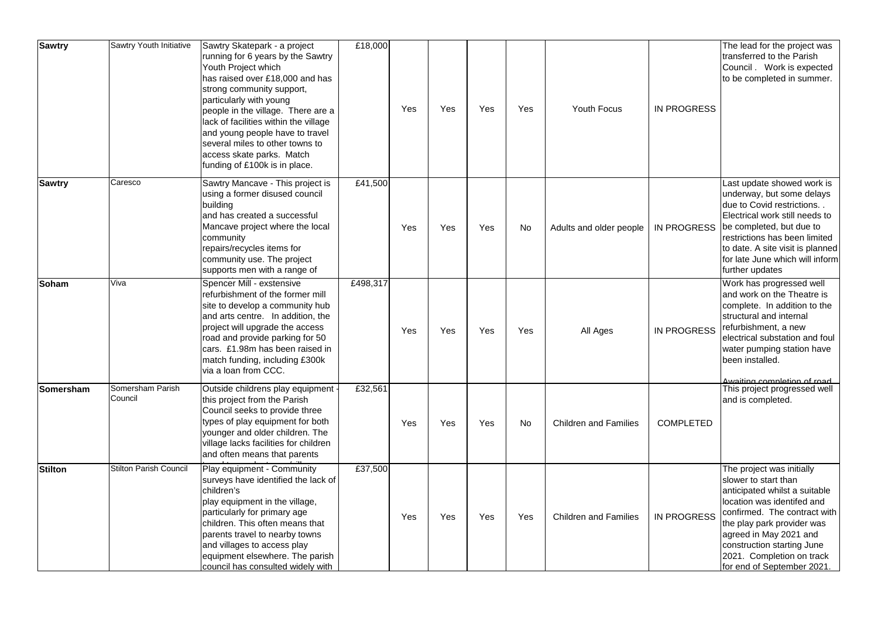| <b>Sawtry</b>  | Sawtry Youth Initiative       | Sawtry Skatepark - a project<br>running for 6 years by the Sawtry<br>Youth Project which<br>has raised over £18,000 and has<br>strong community support,<br>particularly with young<br>people in the village. There are a<br>lack of facilities within the village<br>and young people have to travel<br>several miles to other towns to<br>access skate parks. Match<br>funding of £100k is in place. | £18,000  | Yes | Yes | Yes | Yes       | <b>Youth Focus</b>           | <b>IN PROGRESS</b> | The lead for the project was<br>transferred to the Parish<br>Council . Work is expected<br>to be completed in summer.                                                                                                                                                                             |
|----------------|-------------------------------|--------------------------------------------------------------------------------------------------------------------------------------------------------------------------------------------------------------------------------------------------------------------------------------------------------------------------------------------------------------------------------------------------------|----------|-----|-----|-----|-----------|------------------------------|--------------------|---------------------------------------------------------------------------------------------------------------------------------------------------------------------------------------------------------------------------------------------------------------------------------------------------|
| <b>Sawtry</b>  | Caresco                       | Sawtry Mancave - This project is<br>using a former disused council<br>building<br>land has created a successful<br>Mancave project where the local<br>community<br>repairs/recycles items for<br>community use. The project<br>supports men with a range of                                                                                                                                            | £41,500  | Yes | Yes | Yes | <b>No</b> | Adults and older people      | <b>IN PROGRESS</b> | Last update showed work is<br>underway, but some delays<br>due to Covid restrictions<br>Electrical work still needs to<br>be completed, but due to<br>restrictions has been limited<br>to date. A site visit is planned<br>for late June which will inform<br>further updates                     |
| <b>Soham</b>   | Viva                          | Spencer Mill - exstensive<br>refurbishment of the former mill<br>site to develop a community hub<br>and arts centre. In addition, the<br>project will upgrade the access<br>road and provide parking for 50<br>cars. £1.98m has been raised in<br>match funding, including £300k<br>via a loan from CCC.                                                                                               | £498,317 | Yes | Yes | Yes | Yes       | All Ages                     | <b>IN PROGRESS</b> | Work has progressed well<br>and work on the Theatre is<br>complete. In addition to the<br>structural and internal<br>refurbishment, a new<br>electrical substation and foul<br>water pumping station have<br>been installed.                                                                      |
| Somersham      | Somersham Parish<br>Council   | Outside childrens play equipment -<br>this project from the Parish<br>Council seeks to provide three<br>types of play equipment for both<br>younger and older children. The<br>village lacks facilities for children<br>and often means that parents                                                                                                                                                   | £32,561  | Yes | Yes | Yes | <b>No</b> | <b>Children and Families</b> | <b>COMPLETED</b>   | Awaiting completion of road<br>This project progressed well<br>and is completed.                                                                                                                                                                                                                  |
| <b>Stilton</b> | <b>Stilton Parish Council</b> | Play equipment - Community<br>surveys have identified the lack of<br>children's<br>play equipment in the village,<br>particularly for primary age<br>children. This often means that<br>parents travel to nearby towns<br>and villages to access play<br>equipment elsewhere. The parish<br>council has consulted widely with                                                                          | £37,500  | Yes | Yes | Yes | Yes       | <b>Children and Families</b> | <b>IN PROGRESS</b> | The project was initially<br>slower to start than<br>anticipated whilst a suitable<br>location was identifed and<br>confirmed. The contract with<br>the play park provider was<br>agreed in May 2021 and<br>construction starting June<br>2021. Completion on track<br>for end of September 2021. |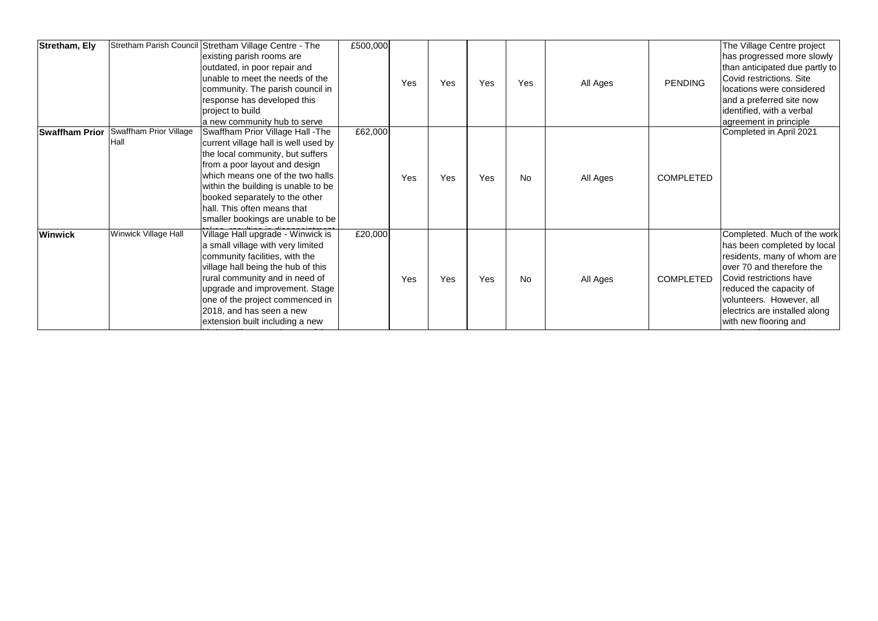| <b>Stretham, Ely</b>  |                                       | Stretham Parish Council Stretham Village Centre - The<br>existing parish rooms are<br>outdated, in poor repair and<br>unable to meet the needs of the<br>community. The parish council in<br>response has developed this<br>project to build<br>a new community hub to serve                                                    | £500,000 | Yes | Yes | Yes | Yes       | All Ages | <b>PENDING</b>   | The Village Centre project<br>has progressed more slowly<br>than anticipated due partly to<br>Covid restrictions. Site<br>locations were considered<br>and a preferred site now<br>identified, with a verbal<br>agreement in principle                             |
|-----------------------|---------------------------------------|---------------------------------------------------------------------------------------------------------------------------------------------------------------------------------------------------------------------------------------------------------------------------------------------------------------------------------|----------|-----|-----|-----|-----------|----------|------------------|--------------------------------------------------------------------------------------------------------------------------------------------------------------------------------------------------------------------------------------------------------------------|
| <b>Swaffham Prior</b> | <b>Swaffham Prior Village</b><br>Hall | Swaffham Prior Village Hall - The<br>current village hall is well used by<br>the local community, but suffers<br>from a poor layout and design<br>which means one of the two halls<br>within the building is unable to be<br>booked separately to the other<br>hall. This often means that<br>smaller bookings are unable to be | £62,000  | Yes | Yes | Yes | <b>No</b> | All Ages | <b>COMPLETED</b> | Completed in April 2021                                                                                                                                                                                                                                            |
| <b>Winwick</b>        | <b>Winwick Village Hall</b>           | Village Hall upgrade - Winwick is<br>a small village with very limited<br>community facilities, with the<br>village hall being the hub of this<br>rural community and in need of<br>upgrade and improvement. Stage<br>one of the project commenced in<br>2018, and has seen a new<br>extension built including a new            | £20,000  | Yes | Yes | Yes | <b>No</b> | All Ages | <b>COMPLETED</b> | Completed. Much of the work<br>has been completed by local<br>residents, many of whom are<br>over 70 and therefore the<br>Covid restrictions have<br>reduced the capacity of<br>volunteers. However, all<br>electrics are installed along<br>with new flooring and |